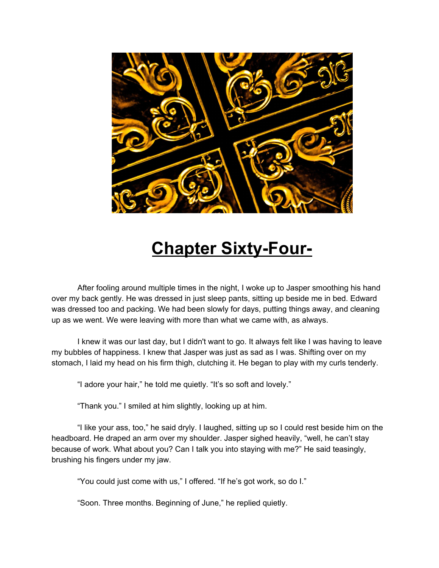

## **Chapter Sixty-Four-**

After fooling around multiple times in the night, I woke up to Jasper smoothing his hand over my back gently. He was dressed in just sleep pants, sitting up beside me in bed. Edward was dressed too and packing. We had been slowly for days, putting things away, and cleaning up as we went. We were leaving with more than what we came with, as always.

I knew it was our last day, but I didn't want to go. It always felt like I was having to leave my bubbles of happiness. I knew that Jasper was just as sad as I was. Shifting over on my stomach, I laid my head on his firm thigh, clutching it. He began to play with my curls tenderly.

"I adore your hair," he told me quietly. "It's so soft and lovely."

"Thank you." I smiled at him slightly, looking up at him.

"I like your ass, too," he said dryly. I laughed, sitting up so I could rest beside him on the headboard. He draped an arm over my shoulder. Jasper sighed heavily, "well, he can't stay because of work. What about you? Can I talk you into staying with me?" He said teasingly, brushing his fingers under my jaw.

"You could just come with us," I offered. "If he's got work, so do I."

"Soon. Three months. Beginning of June," he replied quietly.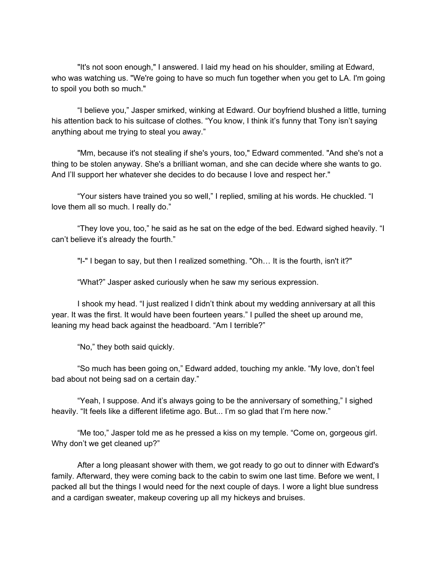"It's not soon enough," I answered. I laid my head on his shoulder, smiling at Edward, who was watching us. "We're going to have so much fun together when you get to LA. I'm going to spoil you both so much."

"I believe you," Jasper smirked, winking at Edward. Our boyfriend blushed a little, turning his attention back to his suitcase of clothes. "You know, I think it's funny that Tony isn't saying anything about me trying to steal you away."

"Mm, because it's not stealing if she's yours, too," Edward commented. "And she's not a thing to be stolen anyway. She's a brilliant woman, and she can decide where she wants to go. And I'll support her whatever she decides to do because I love and respect her."

"Your sisters have trained you so well," I replied, smiling at his words. He chuckled. "I love them all so much. I really do."

"They love you, too," he said as he sat on the edge of the bed. Edward sighed heavily. "I can't believe it's already the fourth."

"I-" I began to say, but then I realized something. "Oh… It is the fourth, isn't it?"

"What?" Jasper asked curiously when he saw my serious expression.

I shook my head. "I just realized I didn't think about my wedding anniversary at all this year. It was the first. It would have been fourteen years." I pulled the sheet up around me, leaning my head back against the headboard. "Am I terrible?"

"No," they both said quickly.

"So much has been going on," Edward added, touching my ankle. "My love, don't feel bad about not being sad on a certain day."

"Yeah, I suppose. And it's always going to be the anniversary of something," I sighed heavily. "It feels like a different lifetime ago. But... I'm so glad that I'm here now."

"Me too," Jasper told me as he pressed a kiss on my temple. "Come on, gorgeous girl. Why don't we get cleaned up?"

After a long pleasant shower with them, we got ready to go out to dinner with Edward's family. Afterward, they were coming back to the cabin to swim one last time. Before we went, I packed all but the things I would need for the next couple of days. I wore a light blue sundress and a cardigan sweater, makeup covering up all my hickeys and bruises.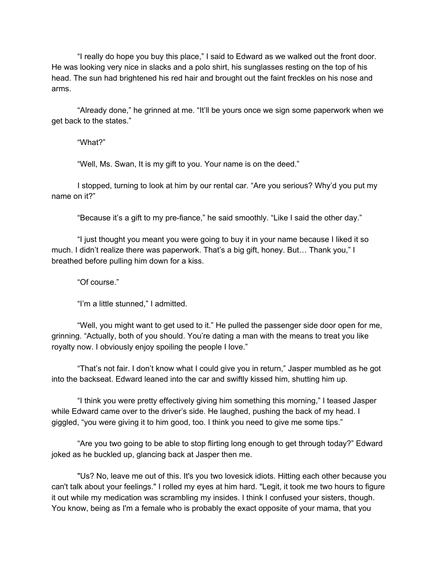"I really do hope you buy this place," I said to Edward as we walked out the front door. He was looking very nice in slacks and a polo shirt, his sunglasses resting on the top of his head. The sun had brightened his red hair and brought out the faint freckles on his nose and arms.

"Already done," he grinned at me. "It'll be yours once we sign some paperwork when we get back to the states."

"What?"

"Well, Ms. Swan, It is my gift to you. Your name is on the deed."

I stopped, turning to look at him by our rental car. "Are you serious? Why'd you put my name on it?"

"Because it's a gift to my pre-fiance," he said smoothly. "Like I said the other day."

"I just thought you meant you were going to buy it in your name because I liked it so much. I didn't realize there was paperwork. That's a big gift, honey. But… Thank you," I breathed before pulling him down for a kiss.

"Of course."

"I'm a little stunned," I admitted.

"Well, you might want to get used to it." He pulled the passenger side door open for me, grinning. "Actually, both of you should. You're dating a man with the means to treat you like royalty now. I obviously enjoy spoiling the people I love."

"That's not fair. I don't know what I could give you in return," Jasper mumbled as he got into the backseat. Edward leaned into the car and swiftly kissed him, shutting him up.

"I think you were pretty effectively giving him something this morning," I teased Jasper while Edward came over to the driver's side. He laughed, pushing the back of my head. I giggled, "you were giving it to him good, too. I think you need to give me some tips."

"Are you two going to be able to stop flirting long enough to get through today?" Edward joked as he buckled up, glancing back at Jasper then me.

"Us? No, leave me out of this. It's you two lovesick idiots. Hitting each other because you can't talk about your feelings." I rolled my eyes at him hard. "Legit, it took me two hours to figure it out while my medication was scrambling my insides. I think I confused your sisters, though. You know, being as I'm a female who is probably the exact opposite of your mama, that you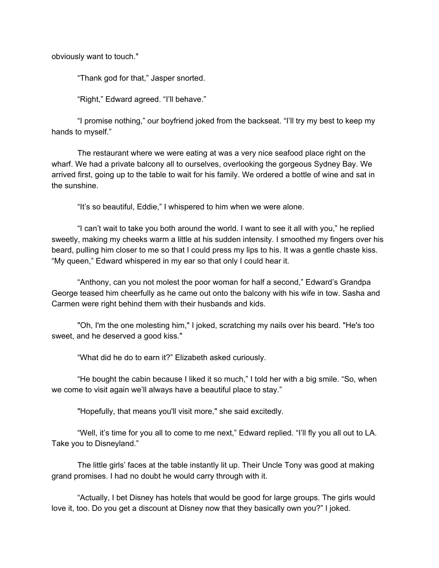obviously want to touch."

"Thank god for that," Jasper snorted.

"Right," Edward agreed. "I'll behave."

"I promise nothing," our boyfriend joked from the backseat. "I'll try my best to keep my hands to myself."

The restaurant where we were eating at was a very nice seafood place right on the wharf. We had a private balcony all to ourselves, overlooking the gorgeous Sydney Bay. We arrived first, going up to the table to wait for his family. We ordered a bottle of wine and sat in the sunshine.

"It's so beautiful, Eddie," I whispered to him when we were alone.

"I can't wait to take you both around the world. I want to see it all with you," he replied sweetly, making my cheeks warm a little at his sudden intensity. I smoothed my fingers over his beard, pulling him closer to me so that I could press my lips to his. It was a gentle chaste kiss. "My queen," Edward whispered in my ear so that only I could hear it.

"Anthony, can you not molest the poor woman for half a second," Edward's Grandpa George teased him cheerfully as he came out onto the balcony with his wife in tow. Sasha and Carmen were right behind them with their husbands and kids.

"Oh, I'm the one molesting him," I joked, scratching my nails over his beard. "He's too sweet, and he deserved a good kiss."

"What did he do to earn it?" Elizabeth asked curiously.

"He bought the cabin because I liked it so much," I told her with a big smile. "So, when we come to visit again we'll always have a beautiful place to stay."

"Hopefully, that means you'll visit more," she said excitedly.

"Well, it's time for you all to come to me next," Edward replied. "I'll fly you all out to LA. Take you to Disneyland."

The little girls' faces at the table instantly lit up. Their Uncle Tony was good at making grand promises. I had no doubt he would carry through with it.

"Actually, I bet Disney has hotels that would be good for large groups. The girls would love it, too. Do you get a discount at Disney now that they basically own you?" I joked.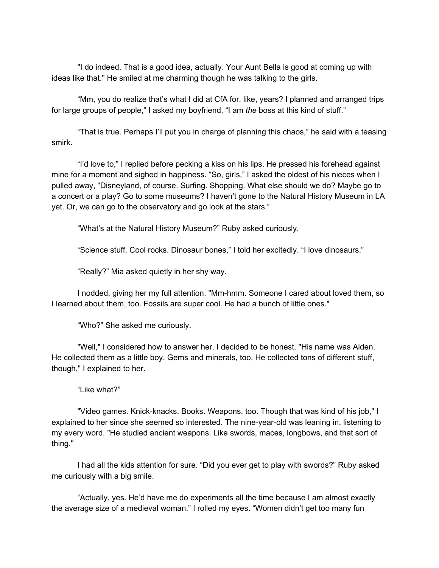"I do indeed. That is a good idea, actually. Your Aunt Bella is good at coming up with ideas like that." He smiled at me charming though he was talking to the girls.

"Mm, you do realize that's what I did at CfA for, like, years? I planned and arranged trips for large groups of people," I asked my boyfriend. "I am *the* boss at this kind of stuff."

"That is true. Perhaps I'll put you in charge of planning this chaos," he said with a teasing smirk.

"I'd love to," I replied before pecking a kiss on his lips. He pressed his forehead against mine for a moment and sighed in happiness. "So, girls," I asked the oldest of his nieces when I pulled away, "Disneyland, of course. Surfing. Shopping. What else should we do? Maybe go to a concert or a play? Go to some museums? I haven't gone to the Natural History Museum in LA yet. Or, we can go to the observatory and go look at the stars."

"What's at the Natural History Museum?" Ruby asked curiously.

"Science stuff. Cool rocks. Dinosaur bones," I told her excitedly. "I love dinosaurs."

"Really?" Mia asked quietly in her shy way.

I nodded, giving her my full attention. "Mm-hmm. Someone I cared about loved them, so I learned about them, too. Fossils are super cool. He had a bunch of little ones."

"Who?" She asked me curiously.

"Well," I considered how to answer her. I decided to be honest. "His name was Aiden. He collected them as a little boy. Gems and minerals, too. He collected tons of different stuff, though," I explained to her.

"Like what?"

"Video games. Knick-knacks. Books. Weapons, too. Though that was kind of his job," I explained to her since she seemed so interested. The nine-year-old was leaning in, listening to my every word. "He studied ancient weapons. Like swords, maces, longbows, and that sort of thing."

I had all the kids attention for sure. "Did you ever get to play with swords?" Ruby asked me curiously with a big smile.

"Actually, yes. He'd have me do experiments all the time because I am almost exactly the average size of a medieval woman." I rolled my eyes. "Women didn't get too many fun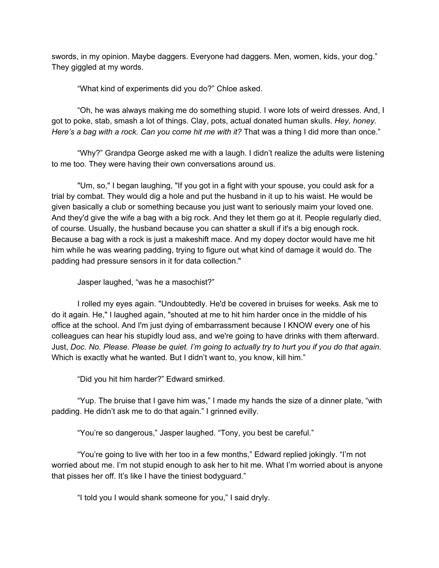swords, in my opinion. Maybe daggers. Everyone had daggers. Men, women, kids, your dog." They giggled at my words.

"What kind of experiments did you do?" Chloe asked.

"Oh, he was always making me do something stupid. I wore lots of weird dresses. And, I got to poke, stab, smash a lot of things. Clay, pots, actual donated human skulls. *Hey, honey. Here's a bag with a rock. Can you come hit me with it?* That was a thing I did more than once."

"Why?" Grandpa George asked me with a laugh. I didn't realize the adults were listening to me too. They were having their own conversations around us.

"Um, so," I began laughing, "If you got in a fight with your spouse, you could ask for a trial by combat. They would dig a hole and put the husband in it up to his waist. He would be given basically a club or something because you just want to seriously maim your loved one. And they'd give the wife a bag with a big rock. And they let them go at it. People regularly died, of course. Usually, the husband because you can shatter a skull if it's a big enough rock. Because a bag with a rock is just a makeshift mace. And my dopey doctor would have me hit him while he was wearing padding, trying to figure out what kind of damage it would do. The padding had pressure sensors in it for data collection."

Jasper laughed, "was he a masochist?"

I rolled my eyes again. "Undoubtedly. He'd be covered in bruises for weeks. Ask me to do it again. He," I laughed again, "shouted at me to hit him harder once in the middle of his office at the school. And I'm just dying of embarrassment because I KNOW every one of his colleagues can hear his stupidly loud ass, and we're going to have drinks with them afterward. Just, Doc. No. Please. Please be quiet. I'm going to actually try to hurt you if you do that again. Which is exactly what he wanted. But I didn't want to, you know, kill him."

"Did you hit him harder?" Edward smirked.

"Yup. The bruise that I gave him was," I made my hands the size of a dinner plate, "with padding. He didn't ask me to do that again." I grinned evilly.

"You're so dangerous," Jasper laughed. "Tony, you best be careful."

"You're going to live with her too in a few months," Edward replied jokingly. "I'm not worried about me. I'm not stupid enough to ask her to hit me. What I'm worried about is anyone that pisses her off. It's like I have the tiniest bodyguard."

"I told you I would shank someone for you," I said dryly.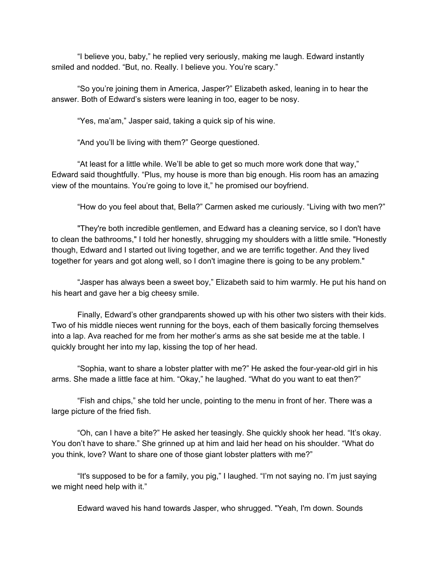"I believe you, baby," he replied very seriously, making me laugh. Edward instantly smiled and nodded. "But, no. Really. I believe you. You're scary."

"So you're joining them in America, Jasper?" Elizabeth asked, leaning in to hear the answer. Both of Edward's sisters were leaning in too, eager to be nosy.

"Yes, ma'am," Jasper said, taking a quick sip of his wine.

"And you'll be living with them?" George questioned.

"At least for a little while. We'll be able to get so much more work done that way," Edward said thoughtfully. "Plus, my house is more than big enough. His room has an amazing view of the mountains. You're going to love it," he promised our boyfriend.

"How do you feel about that, Bella?" Carmen asked me curiously. "Living with two men?"

"They're both incredible gentlemen, and Edward has a cleaning service, so I don't have to clean the bathrooms," I told her honestly, shrugging my shoulders with a little smile. "Honestly though, Edward and I started out living together, and we are terrific together. And they lived together for years and got along well, so I don't imagine there is going to be any problem."

"Jasper has always been a sweet boy," Elizabeth said to him warmly. He put his hand on his heart and gave her a big cheesy smile.

Finally, Edward's other grandparents showed up with his other two sisters with their kids. Two of his middle nieces went running for the boys, each of them basically forcing themselves into a lap. Ava reached for me from her mother's arms as she sat beside me at the table. I quickly brought her into my lap, kissing the top of her head.

"Sophia, want to share a lobster platter with me?" He asked the four-year-old girl in his arms. She made a little face at him. "Okay," he laughed. "What do you want to eat then?"

"Fish and chips," she told her uncle, pointing to the menu in front of her. There was a large picture of the fried fish.

"Oh, can I have a bite?" He asked her teasingly. She quickly shook her head. "It's okay. You don't have to share." She grinned up at him and laid her head on his shoulder. "What do you think, love? Want to share one of those giant lobster platters with me?"

"It's supposed to be for a family, you pig," I laughed. "I'm not saying no. I'm just saying we might need help with it."

Edward waved his hand towards Jasper, who shrugged. "Yeah, I'm down. Sounds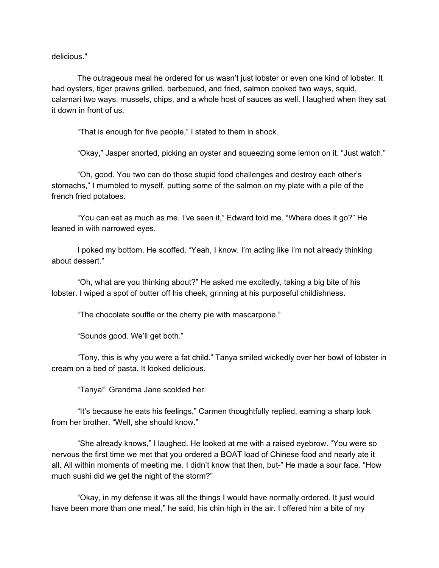delicious."

The outrageous meal he ordered for us wasn't just lobster or even one kind of lobster. It had oysters, tiger prawns grilled, barbecued, and fried, salmon cooked two ways, squid, calamari two ways, mussels, chips, and a whole host of sauces as well. I laughed when they sat it down in front of us.

"That is enough for five people," I stated to them in shock.

"Okay," Jasper snorted, picking an oyster and squeezing some lemon on it. "Just watch."

"Oh, good. You two can do those stupid food challenges and destroy each other's stomachs," I mumbled to myself, putting some of the salmon on my plate with a pile of the french fried potatoes.

"You can eat as much as me. I've seen it," Edward told me. "Where does it go?" He leaned in with narrowed eyes.

I poked my bottom. He scoffed. "Yeah, I know. I'm acting like I'm not already thinking about dessert."

"Oh, what are you thinking about?" He asked me excitedly, taking a big bite of his lobster. I wiped a spot of butter off his cheek, grinning at his purposeful childishness.

"The chocolate souffle or the cherry pie with mascarpone."

"Sounds good. We'll get both."

"Tony, this is why you were a fat child." Tanya smiled wickedly over her bowl of lobster in cream on a bed of pasta. It looked delicious.

"Tanya!" Grandma Jane scolded her.

"It's because he eats his feelings," Carmen thoughtfully replied, earning a sharp look from her brother. "Well, she should know."

"She already knows," I laughed. He looked at me with a raised eyebrow. "You were so nervous the first time we met that you ordered a BOAT load of Chinese food and nearly ate it all. All within moments of meeting me. I didn't know that then, but-" He made a sour face. "How much sushi did we get the night of the storm?"

"Okay, in my defense it was all the things I would have normally ordered. It just would have been more than one meal," he said, his chin high in the air. I offered him a bite of my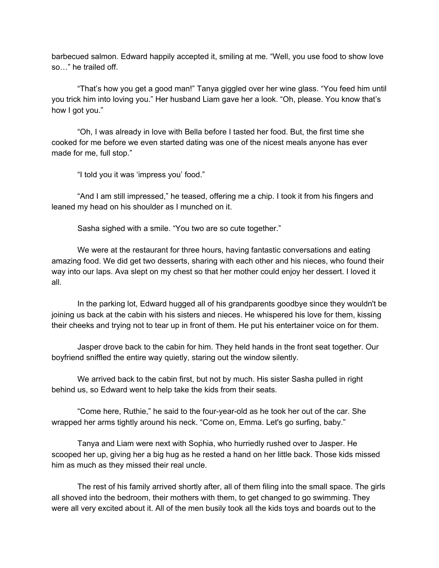barbecued salmon. Edward happily accepted it, smiling at me. "Well, you use food to show love so…" he trailed off.

"That's how you get a good man!" Tanya giggled over her wine glass. "You feed him until you trick him into loving you." Her husband Liam gave her a look. "Oh, please. You know that's how I got you."

"Oh, I was already in love with Bella before I tasted her food. But, the first time she cooked for me before we even started dating was one of the nicest meals anyone has ever made for me, full stop."

"I told you it was 'impress you' food."

"And I am still impressed," he teased, offering me a chip. I took it from his fingers and leaned my head on his shoulder as I munched on it.

Sasha sighed with a smile. "You two are so cute together."

We were at the restaurant for three hours, having fantastic conversations and eating amazing food. We did get two desserts, sharing with each other and his nieces, who found their way into our laps. Ava slept on my chest so that her mother could enjoy her dessert. I loved it all.

In the parking lot, Edward hugged all of his grandparents goodbye since they wouldn't be joining us back at the cabin with his sisters and nieces. He whispered his love for them, kissing their cheeks and trying not to tear up in front of them. He put his entertainer voice on for them.

Jasper drove back to the cabin for him. They held hands in the front seat together. Our boyfriend sniffled the entire way quietly, staring out the window silently.

We arrived back to the cabin first, but not by much. His sister Sasha pulled in right behind us, so Edward went to help take the kids from their seats.

"Come here, Ruthie," he said to the four-year-old as he took her out of the car. She wrapped her arms tightly around his neck. "Come on, Emma. Let's go surfing, baby."

Tanya and Liam were next with Sophia, who hurriedly rushed over to Jasper. He scooped her up, giving her a big hug as he rested a hand on her little back. Those kids missed him as much as they missed their real uncle.

The rest of his family arrived shortly after, all of them filing into the small space. The girls all shoved into the bedroom, their mothers with them, to get changed to go swimming. They were all very excited about it. All of the men busily took all the kids toys and boards out to the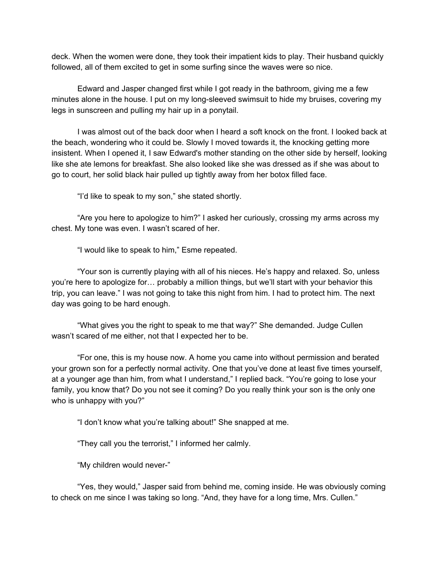deck. When the women were done, they took their impatient kids to play. Their husband quickly followed, all of them excited to get in some surfing since the waves were so nice.

Edward and Jasper changed first while I got ready in the bathroom, giving me a few minutes alone in the house. I put on my long-sleeved swimsuit to hide my bruises, covering my legs in sunscreen and pulling my hair up in a ponytail.

I was almost out of the back door when I heard a soft knock on the front. I looked back at the beach, wondering who it could be. Slowly I moved towards it, the knocking getting more insistent. When I opened it, I saw Edward's mother standing on the other side by herself, looking like she ate lemons for breakfast. She also looked like she was dressed as if she was about to go to court, her solid black hair pulled up tightly away from her botox filled face.

"I'd like to speak to my son," she stated shortly.

"Are you here to apologize to him?" I asked her curiously, crossing my arms across my chest. My tone was even. I wasn't scared of her.

"I would like to speak to him," Esme repeated.

"Your son is currently playing with all of his nieces. He's happy and relaxed. So, unless you're here to apologize for… probably a million things, but we'll start with your behavior this trip, you can leave." I was not going to take this night from him. I had to protect him. The next day was going to be hard enough.

"What gives you the right to speak to me that way?" She demanded. Judge Cullen wasn't scared of me either, not that I expected her to be.

"For one, this is my house now. A home you came into without permission and berated your grown son for a perfectly normal activity. One that you've done at least five times yourself, at a younger age than him, from what I understand," I replied back. "You're going to lose your family, you know that? Do you not see it coming? Do you really think your son is the only one who is unhappy with you?"

"I don't know what you're talking about!" She snapped at me.

"They call you the terrorist," I informed her calmly.

"My children would never-"

"Yes, they would," Jasper said from behind me, coming inside. He was obviously coming to check on me since I was taking so long. "And, they have for a long time, Mrs. Cullen."